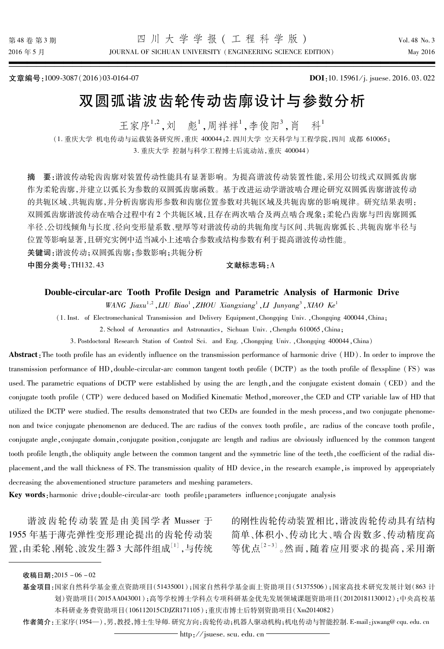JOURNAL OF SICHUAN UNIVERSITY (ENGINEERING SCIENCE EDITION)

文章编号:1009-3087(2016)03-0164-07

DOI:10.15961/j. jsuese. 2016.03.022

# 双圆弧谐波齿轮传动齿廓设计与参数分析

王家序<sup>1,2</sup>, 刘 彪<sup>1</sup>, 周祥祥<sup>1</sup>, 李俊阳<sup>3</sup>, 肖 科

(1. 重庆大学 机由传动与运载装备研究所, 重庆 400044:2. 四川大学 空天科学与工程学院, 四川 成都 610065: 3. 重庆大学 控制与科学工程博士后流动站, 重庆 400044)

摘 要:谐波传动轮齿齿廓对装置传动性能具有显著影响。为提高谐波传动装置性能,采用公切线式双圆弧齿廓 作为柔轮齿廓,并建立以弧长为参数的双圆弧齿廓函数。基于改进运动学谐波啮合理论研究双圆弧齿廓谐波传动 的共轭区域、共轭齿廓,并分析齿廓齿形参数和齿廓位置参数对共轭区域及共轭齿廓的影响规律。研究结果表明: 双圆弧齿廊谐波传动在啮合过程中有2个共轭区域,目存在两次啮合及两点啮合现象:柔轮凸齿廊与凹齿廊圆弧 半径、公切线倾角与长度、径向变形量系数、壁厚等对谐波传动的共轭角度与区间、共轭齿廓弧长、共轭齿廓半径与 位置等影响显著,且研究实例中适当减小上述啮合参数或结构参数有利于提高谐波传动性能。

关键词:谐波传动;双圆弧齿廓;参数影响;共轭分析

中图分类号:TH132.43

#### 文献标志码: A

### Double-circular-arc Tooth Profile Design and Parametric Analysis of Harmonic Drive

WANG Jiaxu<sup>1,2</sup>, LIU Biao<sup>1</sup>, ZHOU Xiangxiang<sup>1</sup>, LI Junyang<sup>3</sup>, XIAO Ke<sup>1</sup>

(1. Inst. of Electromechanical Transmission and Delivery Equipment, Chongqing Univ., Chongqing 400044, China;

2. School of Aeronautics and Astronautics, Sichuan Univ., Chengdu 610065, China;

3. Postdoctoral Research Station of Control Sci. and Eng. , Chongqing Univ. , Chongqing 400044, China)

**Abstract**: The tooth profile has an evidently influence on the transmission performance of harmonic drive (HD). In order to improve the transmission performance of HD, double-circular-arc common tangent tooth profile (DCTP) as the tooth profile of flexspline (FS) was used. The parametric equations of DCTP were established by using the arc length, and the conjugate existent domain (CED) and the conjugate tooth profile (CTP) were deduced based on Modified Kinematic Method, moreover, the CED and CTP variable law of HD that utilized the DCTP were studied. The results demonstrated that two CEDs are founded in the mesh process, and two conjugate phenomenon and twice conjugate phenomenon are deduced. The arc radius of the convex tooth profile, arc radius of the concave tooth profile, conjugate angle, conjugate domain, conjugate position, conjugate arc length and radius are obviously influenced by the common tangent tooth profile length, the obliquity angle between the common tangent and the symmetric line of the teeth, the coefficient of the radial displacement, and the wall thickness of FS. The transmission quality of HD device, in the research example, is improved by appropriately decreasing the abovementioned structure parameters and meshing parameters.

Key words: harmonic drive; double-circular-arc tooth profile; parameters influence; conjugate analysis

谐波齿轮传动装置是由美国学者 Musser 于 1955年基于薄壳弹性变形理论提出的齿轮传动装 置,由柔轮、刚轮、波发生器3大部件组成<sup>[1]</sup>,与传统 的刚性齿轮传动装置相比,谐波齿轮传动具有结构 简单、体积小、传动比大、啮合齿数多、传动精度高 等优点[2-3]。然而,随着应用要求的提高,采用渐

- 基金项目:国家自然科学基金重点资助项目(51435001);国家自然科学基金面上资助项目(51375506);国家高技术研究发展计划(863 计 划)资助项目(2015AA043001);高等学校博士学科点专项科研基金优先发展领域课题资助项目(20120181130012);中央高校基 本科研业务费资助项目(106112015CDJZR171105);重庆市博士后特别资助项目(Xm2014082)
- 作者简介:王家序(1954—),男,教授,博士生导师.研究方向:齿轮传动;机器人驱动机构;机电传动与智能控制. E-mail: jxwang@cqu.edu.cn

收稿日期: 2015-06-02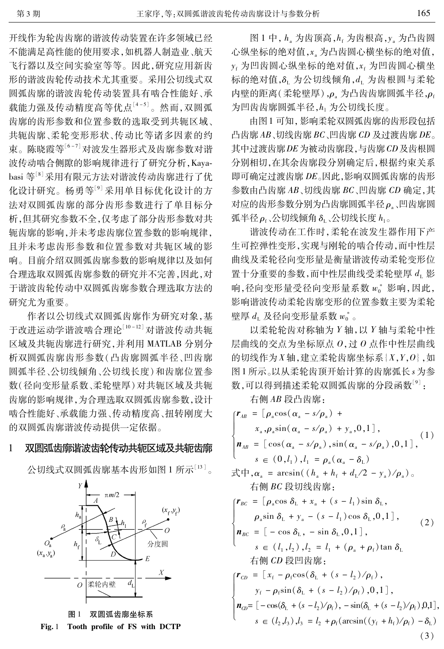165

开线作为轮齿齿廓的谐波传动装置在许多领域已经 不能满足高性能的使用要求,如机器人制造业、航天 飞行器以及空间实验室等等。因此,研究应用新齿 形的谐波齿轮传动技术尤其重要。采用公切线式双 圆弧齿廓的谐波齿轮传动装置具有啮合性能好、承 载能力强及传动精度高等优点<sup>[4-5]</sup>。然而,双圆弧 齿廓的齿形参数和位置参数的选取受到共轭区域、 共轭齿廓、柔轮变形形状、传动比等诸多因素的约 束。陈晓霞等<sup>[6-7]</sup>对波发生器形式及齿廓参数对谐 波传动啮合侧隙的影响规律进行了研究分析, Kayabasi 等<sup>[8]</sup> 采用有限元方法对谐波传动齿廓进行了优 化设计研究。杨勇等[9]采用单目标优化设计的方 法对双圆弧齿廓的部分齿形参数讲行了单目标分 析,但其研究参数不全,仅考虑了部分齿形参数对共 轭齿廓的影响,并未考虑齿廓位置参数的影响规律, 日并未考虑齿形参数和位置参数对共轭区域的影 响。目前介绍双圆弧齿廓参数的影响规律以及如何 合理选取双圆弧齿廓参数的研究并不完善,因此,对 于谐波齿轮传动中双圆弧齿廓参数合理选取方法的 研究尤为重要。

作者以公切线式双圆弧齿廓作为研究对象,基 于改进运动学谐波啮合理论[10-12] 对谐波传动共轭 区域及共轭齿廓进行研究,并利用 MATLAB 分别分 析双圆弧齿廓齿形参数(凸齿廓圆弧半径、凹齿廓 圆弧半径、公切线倾角、公切线长度)和齿廓位置参 数(径向变形量系数、柔轮壁厚)对共轭区域及共轭 齿廓的影响规律,为合理选取双圆弧齿廓参数,设计 啮合性能好、承载能力强、传动精度高、扭转刚度大 的双圆弧齿廓谐波传动提供一定依据。

#### 双圆弧齿廓谐波齿轮传动共轭区域及共轭齿廓 1

公切线式双圆弧齿廓基本齿形如图 1 所示[13]。



双圆弧齿廓坐标系 图 1 Tooth profile of FS with DCTP  $Fig. 1$ 

图 1 中, h 对齿顶高, h 为齿根高, y 为凸齿圆 心纵坐标的绝对值,x。为凸齿圆心横坐标的绝对值, γ<sub>f</sub> 为凹齿圆心纵坐标的绝对值, x<sub>f</sub> 为凹齿圆心横坐 标的绝对值, δ, 为公切线倾角, d, 为齿根圆与柔轮 内壁的距离(柔轮壁厚), ρ、为凸齿齿廓圆弧半径, ρ。 为凹齿齿廓圆弧半径,h1 为公切线长度。

由图1可知,影响柔轮双圆弧齿廓的齿形段包括 凸齿廓 AB、切线齿廓 BC、凹齿廓 CD 及过渡齿廓 DE。 其中讨渡齿廓 DE 为被动齿廓段, 与齿廓 CD 及齿根圆 分别相切,在其余齿廓段分别确定后,根据约束关系 即可确定过渡齿廓 DE。因此,影响双圆弧齿廓的齿形 参数由凸齿廓 AB、切线齿廓 BC、凹齿廓 CD 确定,其 对应的齿形参数分别为凸齿廓圆弧半径ρ、凹齿廓圆 弧半径 ρ, 公切线倾角 δ, 公切线长度  $h_{10}$ 

谐波传动在工作时,柔轮在波发生器作用下产 生可控弹性变形,实现与刚轮的啮合传动,而中性层 曲线及柔轮径向变形量是衡量谐波传动柔轮变形位 置十分重要的参数,而中性层曲线受柔轮壁厚 d<sub>1</sub> 影 响,径向变形量受径向变形量系数  $w_0^*$  影响,因此, 影响谐波传动柔轮齿廓变形的位置参数主要为柔轮 壁厚  $d_1$  及径向变形量系数  $w_0^*$ 

以柔轮轮齿对称轴为 Y轴, 以 Y轴与柔轮中性 层曲线的交点为坐标原点  $0,$ 过  $0$  点作中性层曲线 的切线作为  $X$ 轴, 建立柔轮齿廓坐标系  $\{X,Y,0\}$ , 如 图1所示。以从柔轮齿顶开始计算的齿廓弧长。为参 数,可以得到描述柔轮双圆弧齿廓的分段函数<sup>[9]</sup>:

右侧 AB 段凸齿廓:

 $\mathbf{r}_{AB} = [\rho_{\rm a} \cos(\alpha_{\rm a} - s/\rho_{\rm a}) +$  $x_a$ ,  $\rho_a$ sin( $\alpha_a - s/\rho_a$ ) +  $y_a$ , 0, 1],  $(1)$  $\mathbf{n}_{AB} = [\cos(\alpha_{\rm a} - s/\rho_{\rm a}), \sin(\alpha_{\rm a} - s/\rho_{\rm a}), 0, 1],$  $s \in (0, l_1), l_1 = \rho_{s}(\alpha_s - \delta_1)$  $\vec{\mathcal{R}}$   $\vec{\mathcal{R}}$ ,  $\alpha$ <sub>s</sub> = arcsin(( $h$ <sub>s</sub> +  $h$ <sub>f</sub> +  $d$ <sub>I</sub>/2 -  $\gamma$ <sub>s</sub>)/ $\rho$ <sub>s</sub>)<sub>o</sub> 右侧 BC 段切线齿廓:  $r_{BC} = \left[\rho_{\rm a} \cos \delta_{\rm L} + x_{\rm a} + (s - l_1) \sin \delta_{\rm L}\right],$  $\rho_{\rm a}$ sin  $\delta_{\rm L}$  +  $y_{\rm a}$  – (s –  $l_1$ ) cos  $\delta_{\rm L}$ , 0, 1],  $(2)$  $\boldsymbol{n}_{BC} = \begin{bmatrix} -\cos \delta_{\rm L}, -\sin \delta_{\rm L}, 0, 1 \end{bmatrix},$  $s \in (l_1, l_2), l_2 = l_1 + (\rho_{\rm a} + \rho_{\rm f}) \tan \delta_{\rm r}$ 右侧 CD 段凹齿廓:  $\mathbf{r}_{CD} = [x_f - \rho_f \cos(\delta_L + (s - l_2)/\rho_f),$  $y_f - \rho_f \sin(\delta_L + (s - l_2)/\rho_f), 0, 1],$  $n_{CD} = \left[ -\cos(\delta_{\rm L} + (s - l_2)/\rho_{\rm f}) - \sin(\delta_{\rm L} + (s - l_2)/\rho_{\rm f}) \, 0.1 \right],$  $s \in (l_2, l_3), l_3 = l_2 + \rho_f(\arcsin((y_f + h_f)/\rho_f) - \delta_L)$  $(3)$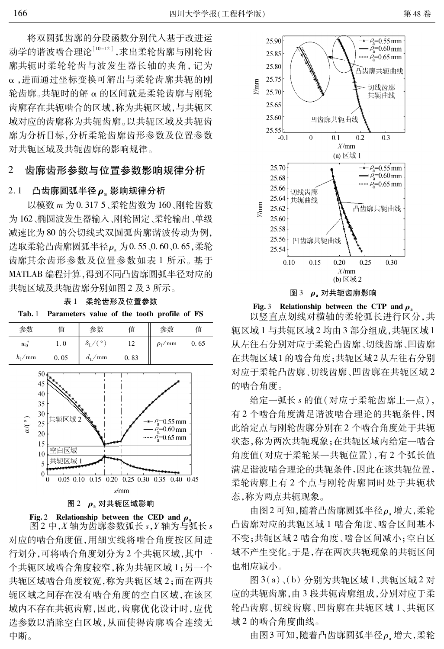第48卷

将双圆弧齿廓的分段函数分别代入基于改进运 动学的谐波啮合理论[10-12],求出柔轮齿廓与刚轮齿 廓共轭时柔轮轮齿与波发生器长轴的夹角,记为 α,进而通过坐标变换可解出与柔轮齿廓共轭的刚 轮齿廓。共轭时的解 α 的区间就是柔轮齿廓与刚轮 齿廓存在共轭啮合的区域,称为共轭区域,与共轭区 域对应的齿廓称为共轭齿廓。以共轭区域及共轭齿 廓为分析目标,分析柔轮齿廓齿形参数及位置参数 对共轭区域及共轭齿廓的影响规律。

#### 齿廊齿形参数与位置参数影响规律分析 2

#### $2.1$ 凸齿廓圆弧半径ρ。影响规律分析

以模数 m 为 0.317 5、柔轮齿数为 160、刚轮齿数 为162、椭圆波发生器输入、刚轮固定、柔轮输出、单级 减速比为80的公切线式双圆弧齿廓谐波传动为例, 选取柔轮凸齿廓圆弧半径ρ。为0.55、0.60、0.65,柔轮 齿廓其余齿形参数及位置参数如表1所示。基于 MATLAB 编程计算,得到不同凸齿廓圆弧半径对应的 共轭区域及共轭齿廓分别如图 2 及 3 所示。

表 1 柔轮齿形及位置参数





图 2 中,  $X$  轴为齿廓参数弧长  $s, Y$  轴为与弧长  $s$ 对应的啮合角度值,用细实线将啮合角度按区间进 行划分,可将啮合角度划分为2个共轭区域,其中一 个共轭区域啮合角度较窄,称为共轭区域 1;另一个 共轭区域啮合角度较宽,称为共轭区域2;而在两共 轭区域之间存在没有啮合角度的空白区域,在该区 域内不存在共轭齿廓,因此,齿廓优化设计时,应优 选参数以消除空白区域,从而使得齿廓啮合连续无 中断。



图 3 ρ, 对共轭齿廓影响

Fig. 3 Relationship between the CTP and  $\rho$ .

以竖直点划线对横轴的柔轮弧长进行区分,共 轭区域1与共轭区域2均由3部分组成,共轭区域1 从左往右分别对应于柔轮凸齿廓、切线齿廓、凹齿廓 在共轭区域1的啮合角度;共轭区域2从左往右分别 对应于柔轮凸齿廓、切线齿廓、凹齿廓在共轭区域2 的啮合角度。

给定一弧长 s 的值(对应于柔轮齿廓上一点), 有2个啮合角度满足谐波啮合理论的共轭条件,因 此给定点与刚轮齿廓分别在2个啮合角度处于共轭 状态, 称为两次共轭现象; 在共轭区域内给定一啮合 角度值(对应于柔轮某一共轭位置),有2个弧长值 满足谐波啮合理论的共轭条件,因此在该共轭位置, 柔轮齿廓上有2个点与刚轮齿廓同时处于共轭状 态,称为两点共轭现象。

由图2可知,随着凸齿廓圆弧半径ρ。增大,柔轮 凸齿廓对应的共轭区域1啮合角度、啮合区间基本 不变;共轭区域2 啮合角度、啮合区间减小;空白区 域不产生变化。于是,存在两次共轭现象的共轭区间 也相应减小。

图 3(a)、(b) 分别为共轭区域 1、共轭区域 2 对 应的共轭齿廓,由3段共轭齿廓组成,分别对应于柔 轮凸齿廓、切线齿廓、凹齿廓在共轭区域 1、共轭区 域2的啮合角度曲线。

由图3可知,随着凸齿廓圆弧半径ρ。增大,柔轮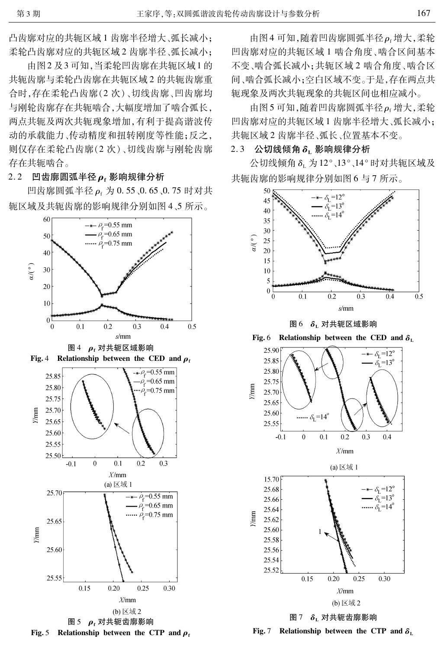凸齿廓对应的共轭区域1齿廓半径增大、弧长减小; 柔轮凸齿廓对应的共轭区域2齿廓半径、弧长减小;

由图2及3可知,当柔轮凹齿廓在共轭区域1的 共轭齿廓与柔轮凸齿廓在共轭区域2的共轭齿廓重 合时,存在柔轮凸齿廓(2次)、切线齿廓、凹齿廓均 与刚轮齿廓存在共轭啮合,大幅度增加了啮合弧长, 两点共轭及两次共轭现象增加,有利于提高谐波传 动的承载能力、传动精度和扭转刚度等性能;反之, 则仅存在柔轮凸齿廓(2次)、切线齿廓与刚轮齿廓 存在共轭啮合。

2.2 凹齿廓圆弧半径 $\rho$ ,影响规律分析

凹齿廓圆弧半径 ρ , 为 0.55 0.65 0.75 时对共 轭区域及共轭齿廓的影响规律分别如图 4、5 所示。



Fig. 5 Relationship between the CTP and  $\rho_f$ 

由图4可知,随着凹齿廓圆弧半径ρ,增大,柔轮 凹齿廓对应的共轭区域1啮合角度、啮合区间基本 不变、啮合弧长减小;共轭区域2啮合角度、啮合区 间、啮合弧长减小;空白区域不变。于是,存在两点共 轭现象及两次共轭现象的共轭区间也相应减小。

由图5可知,随着凹齿廓圆弧半径ρ;增大,柔轮 凹齿廓对应的共轭区域1齿廓半径增大、弧长减小; 共轭区域2齿廓半径、弧长、位置基本不变。

### $2.3$  公切线倾角 δ, 影响规律分析

公切线倾角 δ<sub>r</sub> 为12°、13°、14°时对共轭区域及 共轭齿廓的影响规律分别如图 6 与 7 所示。



图 6 δ 对共轭区域影响

Relationship between the CED and  $\delta$ . Fig. 6







图 7  $\delta$ <sub>L</sub> 对共轭齿廓影响 Fig. 7 Relationship between the CTP and  $\delta_{\tau}$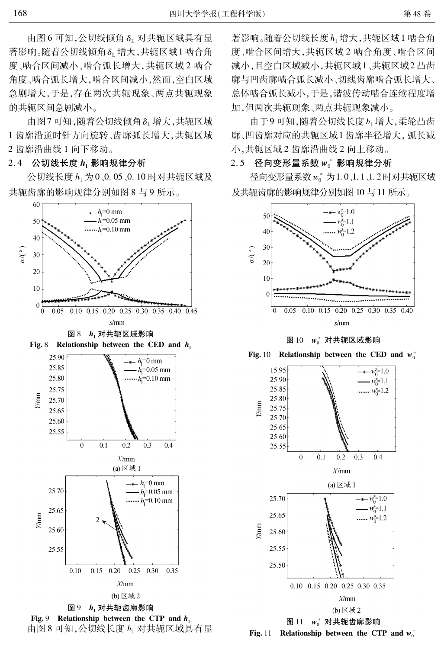由图 6 可知,公切线倾角 δ 对共轭区域具有显 著影响。随着公切线倾角δμ增大,共轭区域1啮合角 度、啮合区间减小、啮合弧长增大,共轭区域2啮合 角度、啮合弧长增大,啮合区间减小,然而,空白区域 急剧增大,于是,存在两次共轭现象、两点共轭现象 的共轭区间急剧减小。

由图7可知,随着公切线倾角δμ增大,共轭区域 1 齿廓沿逆时针方向旋转、齿廓弧长增大,共轭区域 2 齿廓沿曲线 1 向下移动。

2.4 公切线长度 h, 影响规律分析

公切线长度 h 为 0 、0.05 、0.10 时对共轭区域及 共轭齿廓的影响规律分别如图 8 与 9 所示。



Fig. 9 Relationship between the CTP and  $h_1$ 由图 8 可知,公切线长度 h 对共轭区域具有显 著影响。随着公切线长度 h1 增大,共轭区域1 啮合角 度、啮合区间增大,共轭区域2啮合角度、啮合区间 减小,且空白区域减小,共轭区域1、共轭区域2凸齿 廓与凹齿廓啮合弧长减小、切线齿廓啮合弧长增大、 总体啮合弧长减小,于是,谐波传动啮合连续程度增 加,但两次共轭现象、两点共轭现象减小。

由于9可知,随着公切线长度 h 增大,柔轮凸齿 廓、凹齿廓对应的共轭区域1齿廓半径增大, 弧长减 小,共轭区域2齿廓沿曲线2向上移动。

### 2.5 径向变形量系数 w 。影响规律分析

径向变形量系数  $w_0^*$  为1.0、1.1、1.2 时对共轭区域 及共轭齿廓的影响规律分别如图 10 与 11 所示。



图  $10 w_0^*$  对共轭区域影响



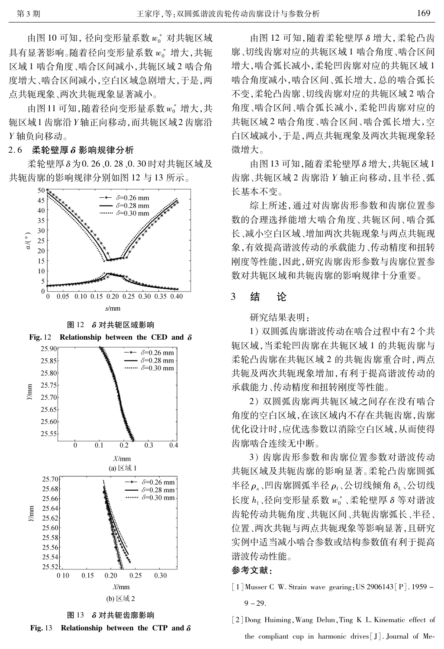由图 10 可知, 径向变形量系数  $w_0^*$  对共轭区域 具有显著影响。随着径向变形量系数  $w_0^*$  增大,共轭 区域1啮合角度、啮合区间减小,共轭区域2啮合角 度增大、啮合区间减小,空白区域急剧增大,于是,两 点共轭现象、两次共轭现象显著减小。

由图11可知, 随着径向变形量系数 w 。 增大, 共 轭区域1 齿廓沿 Y轴正向移动,而共轭区域2 齿廓沿 Y轴负向移动。

### 2.6 柔轮壁厚 δ影响规律分析

柔轮壁厚 δ 为 0. 26、0. 28、0. 30 时对共轭区域及 共轭齿廓的影响规律分别如图 12 与 13 所示。



(b)  $\boxtimes \uplus 2$ 

图 13 δ 对共轭齿廓影响



由图 12 可知,随着柔轮壁厚 δ 增大,柔轮凸齿 廓、切线齿廓对应的共轭区域1啮合角度、啮合区间 增大,啮合弧长减小,柔轮凹齿廓对应的共轭区域1 啮合角度减小,啮合区间、弧长增大,总的啮合弧长 不变,柔轮凸齿廓、切线齿廓对应的共轭区域2啮合 角度、啮合区间、啮合弧长减小,柔轮凹齿廓对应的 共轭区域2 啮合角度、啮合区间、啮合弧长增大,空 白区域减小,于是,两点共轭现象及两次共轭现象轻 微增大。

由图13可知. 随着柔轮壁厚 δ 增大. 共轭区域 1 齿廓、共轭区域2齿廓沿 Y轴正向移动,且半径、弧 长基本不变。

综上所述,通过对齿廓齿形参数和齿廓位置参 数的合理选择能增大啮合角度、共轭区间、啮合弧 长、减小空白区域、增加两次共轭现象与两点共轭现 象,有效提高谐波传动的承载能力、传动精度和扭转 刚度等性能,因此,研究齿廓齿形参数与齿廓位置参 数对共轭区域和共轭齿廓的影响规律十分重要。

#### $\mathbf{3}$ 结 论

研究结果表明:

1) 双圆弧齿廓谐波传动在啮合过程中有2个共 轭区域,当柔轮凹齿廓在共轭区域1的共轭齿廓与 柔轮凸齿廓在共轭区域2的共轭齿廓重合时,两点 共轭及两次共轭现象增加,有利于提高谐波传动的 承载能力、传动精度和扭转刚度等性能。

2) 双圆弧齿廓两共轭区域之间存在没有啮合 角度的空白区域,在该区域内不存在共轭齿廓,齿廓 优化设计时,应优选参数以消除空白区域,从而使得 齿廓啮合连续无中断。

3) 齿廓齿形参数和齿廓位置参数对谐波传动 共轭区域及共轭齿廓的影响显著。柔轮凸齿廓圆弧 半径 $\rho$ 。凹齿廓圆弧半径 $\rho_{\rm f}$ 、公切线倾角 $\delta_{\rm L}$ 、公切线 长度 $h_1$ 、径向变形量系数  $w_0^*$ 、柔轮壁厚δ等对谐波 齿轮传动共轭角度、共轭区间、共轭齿廓弧长、半径、 位置、两次共轭与两点共轭现象等影响显著,且研究 实例中话当减小啮合参数或结构参数值有利于提高 谐波传动性能。

## 参考文献:

- [1] Musser C W. Strain wave gearing: US 2906143 [P]. 1959  $9 - 29$ .
- [2] Dong Huiming, Wang Delun, Ting K L. Kinematic effect of the compliant cup in harmonic drives [J]. Journal of Me-